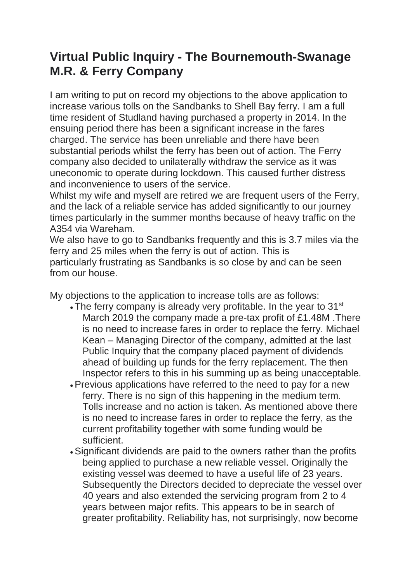## **Virtual Public Inquiry - The Bournemouth-Swanage M.R. & Ferry Company**

I am writing to put on record my objections to the above application to increase various tolls on the Sandbanks to Shell Bay ferry. I am a full time resident of Studland having purchased a property in 2014. In the ensuing period there has been a significant increase in the fares charged. The service has been unreliable and there have been substantial periods whilst the ferry has been out of action. The Ferry company also decided to unilaterally withdraw the service as it was uneconomic to operate during lockdown. This caused further distress and inconvenience to users of the service.

Whilst my wife and myself are retired we are frequent users of the Ferry. and the lack of a reliable service has added significantly to our journey times particularly in the summer months because of heavy traffic on the A354 via Wareham.

We also have to go to Sandbanks frequently and this is 3.7 miles via the ferry and 25 miles when the ferry is out of action. This is particularly frustrating as Sandbanks is so close by and can be seen from our house.

My objections to the application to increase tolls are as follows:

- $\cdot$  The ferry company is already very profitable. In the year to 31 $\mathrm{^{st}}$ March 2019 the company made a pre-tax profit of £1.48M .There is no need to increase fares in order to replace the ferry. Michael Kean – Managing Director of the company, admitted at the last Public Inquiry that the company placed payment of dividends ahead of building up funds for the ferry replacement. The then Inspector refers to this in his summing up as being unacceptable.
- Previous applications have referred to the need to pay for a new ferry. There is no sign of this happening in the medium term. Tolls increase and no action is taken. As mentioned above there is no need to increase fares in order to replace the ferry, as the current profitability together with some funding would be sufficient.
- Significant dividends are paid to the owners rather than the profits being applied to purchase a new reliable vessel. Originally the existing vessel was deemed to have a useful life of 23 years. Subsequently the Directors decided to depreciate the vessel over 40 years and also extended the servicing program from 2 to 4 years between major refits. This appears to be in search of greater profitability. Reliability has, not surprisingly, now become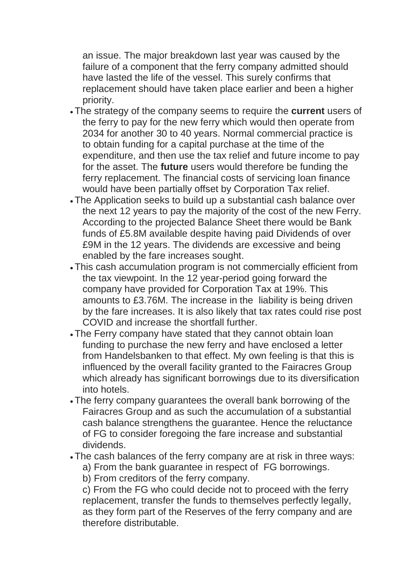an issue. The major breakdown last year was caused by the failure of a component that the ferry company admitted should have lasted the life of the vessel. This surely confirms that replacement should have taken place earlier and been a higher priority.

- The strategy of the company seems to require the **current** users of the ferry to pay for the new ferry which would then operate from 2034 for another 30 to 40 years. Normal commercial practice is to obtain funding for a capital purchase at the time of the expenditure, and then use the tax relief and future income to pay for the asset. The **future** users would therefore be funding the ferry replacement. The financial costs of servicing loan finance would have been partially offset by Corporation Tax relief.
- The Application seeks to build up a substantial cash balance over the next 12 years to pay the majority of the cost of the new Ferry. According to the projected Balance Sheet there would be Bank funds of £5.8M available despite having paid Dividends of over £9M in the 12 years. The dividends are excessive and being enabled by the fare increases sought.
- This cash accumulation program is not commercially efficient from the tax viewpoint. In the 12 year-period going forward the company have provided for Corporation Tax at 19%. This amounts to £3.76M. The increase in the liability is being driven by the fare increases. It is also likely that tax rates could rise post COVID and increase the shortfall further.
- The Ferry company have stated that they cannot obtain loan funding to purchase the new ferry and have enclosed a letter from Handelsbanken to that effect. My own feeling is that this is influenced by the overall facility granted to the Fairacres Group which already has significant borrowings due to its diversification into hotels.
- The ferry company guarantees the overall bank borrowing of the Fairacres Group and as such the accumulation of a substantial cash balance strengthens the guarantee. Hence the reluctance of FG to consider foregoing the fare increase and substantial dividends.
- The cash balances of the ferry company are at risk in three ways:
	- a) From the bank guarantee in respect of FG borrowings.
	- b) From creditors of the ferry company.

c) From the FG who could decide not to proceed with the ferry replacement, transfer the funds to themselves perfectly legally, as they form part of the Reserves of the ferry company and are therefore distributable.